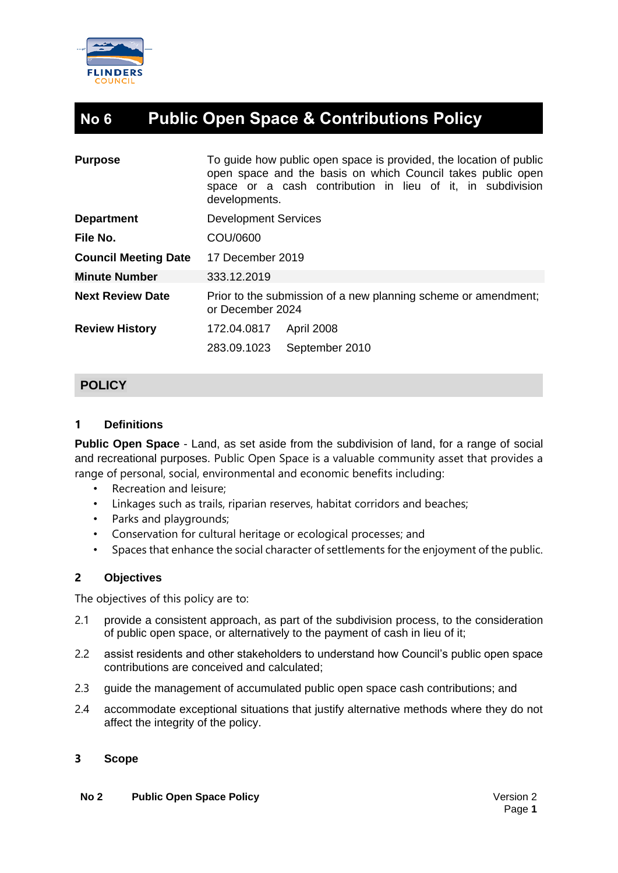

# **No 6 Public Open Space & Contributions Policy**

| To guide how public open space is provided, the location of public<br><b>Purpose</b><br>open space and the basis on which Council takes public open<br>space or a cash contribution in lieu of it, in subdivision<br>developments. |  |
|------------------------------------------------------------------------------------------------------------------------------------------------------------------------------------------------------------------------------------|--|
| <b>Development Services</b><br><b>Department</b>                                                                                                                                                                                   |  |
| COU/0600<br>File No.                                                                                                                                                                                                               |  |
| <b>Council Meeting Date</b><br>17 December 2019                                                                                                                                                                                    |  |
| <b>Minute Number</b><br>333.12.2019                                                                                                                                                                                                |  |
| <b>Next Review Date</b><br>Prior to the submission of a new planning scheme or amendment;<br>or December 2024                                                                                                                      |  |
| <b>Review History</b><br>172.04.0817<br>April 2008                                                                                                                                                                                 |  |
| 283.09.1023<br>September 2010                                                                                                                                                                                                      |  |

# **POLICY**

## **1 Definitions**

**Public Open Space** - Land, as set aside from the subdivision of land, for a range of social and recreational purposes. Public Open Space is a valuable community asset that provides a range of personal, social, environmental and economic benefits including:

- Recreation and leisure;
- Linkages such as trails, riparian reserves, habitat corridors and beaches;
- Parks and playgrounds;
- Conservation for cultural heritage or ecological processes; and
- Spaces that enhance the social character of settlements for the enjoyment of the public.

# **2 Objectives**

The objectives of this policy are to:

- 2.1 provide a consistent approach, as part of the subdivision process, to the consideration of public open space, or alternatively to the payment of cash in lieu of it;
- 2.2 assist residents and other stakeholders to understand how Council's public open space contributions are conceived and calculated;
- 2.3 guide the management of accumulated public open space cash contributions; and
- 2.4 accommodate exceptional situations that justify alternative methods where they do not affect the integrity of the policy.

#### **3 Scope**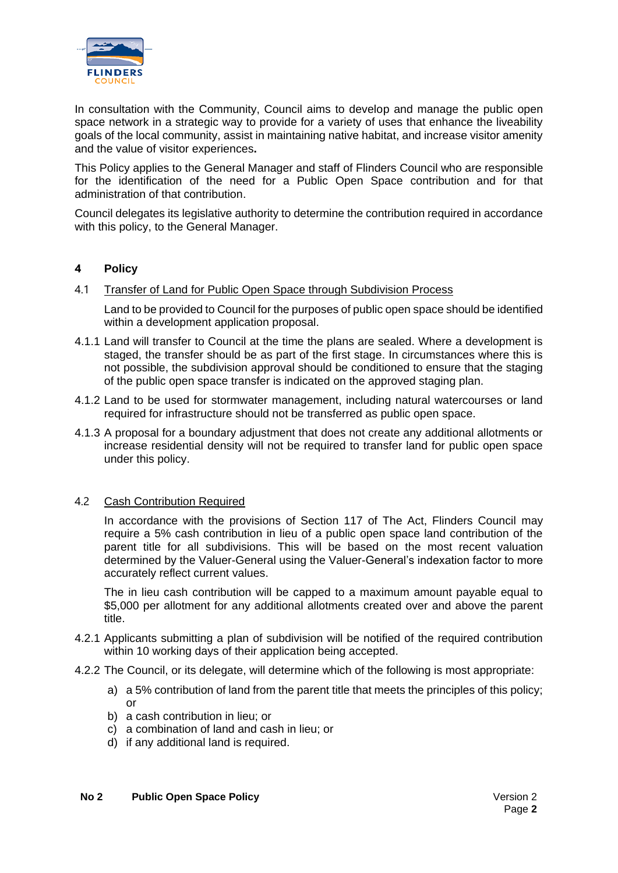

In consultation with the Community, Council aims to develop and manage the public open space network in a strategic way to provide for a variety of uses that enhance the liveability goals of the local community, assist in maintaining native habitat, and increase visitor amenity and the value of visitor experiences**.**

This Policy applies to the General Manager and staff of Flinders Council who are responsible for the identification of the need for a Public Open Space contribution and for that administration of that contribution.

Council delegates its legislative authority to determine the contribution required in accordance with this policy, to the General Manager.

#### **4 Policy**

#### 4.1 Transfer of Land for Public Open Space through Subdivision Process

Land to be provided to Council for the purposes of public open space should be identified within a development application proposal.

- 4.1.1 Land will transfer to Council at the time the plans are sealed. Where a development is staged, the transfer should be as part of the first stage. In circumstances where this is not possible, the subdivision approval should be conditioned to ensure that the staging of the public open space transfer is indicated on the approved staging plan.
- 4.1.2 Land to be used for stormwater management, including natural watercourses or land required for infrastructure should not be transferred as public open space.
- 4.1.3 A proposal for a boundary adjustment that does not create any additional allotments or increase residential density will not be required to transfer land for public open space under this policy.

#### 4.2 Cash Contribution Required

In accordance with the provisions of Section 117 of The Act, Flinders Council may require a 5% cash contribution in lieu of a public open space land contribution of the parent title for all subdivisions. This will be based on the most recent valuation determined by the Valuer-General using the Valuer-General's indexation factor to more accurately reflect current values.

The in lieu cash contribution will be capped to a maximum amount payable equal to \$5,000 per allotment for any additional allotments created over and above the parent title.

- 4.2.1 Applicants submitting a plan of subdivision will be notified of the required contribution within 10 working days of their application being accepted.
- 4.2.2 The Council, or its delegate, will determine which of the following is most appropriate:
	- a) a 5% contribution of land from the parent title that meets the principles of this policy; or
	- b) a cash contribution in lieu; or
	- c) a combination of land and cash in lieu; or
	- d) if any additional land is required.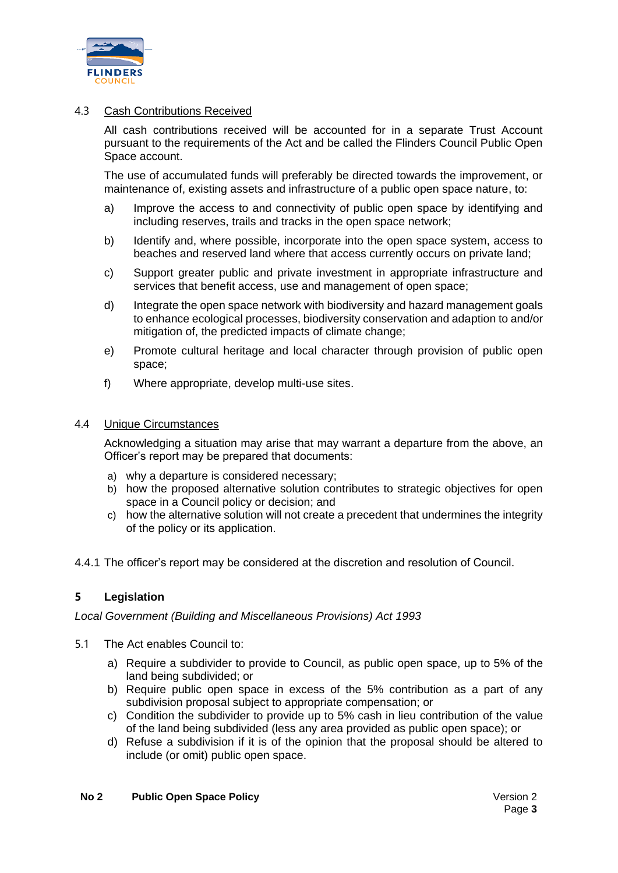

#### 4.3 Cash Contributions Received

All cash contributions received will be accounted for in a separate Trust Account pursuant to the requirements of the Act and be called the Flinders Council Public Open Space account.

The use of accumulated funds will preferably be directed towards the improvement, or maintenance of, existing assets and infrastructure of a public open space nature, to:

- a) Improve the access to and connectivity of public open space by identifying and including reserves, trails and tracks in the open space network;
- b) Identify and, where possible, incorporate into the open space system, access to beaches and reserved land where that access currently occurs on private land;
- c) Support greater public and private investment in appropriate infrastructure and services that benefit access, use and management of open space;
- d) Integrate the open space network with biodiversity and hazard management goals to enhance ecological processes, biodiversity conservation and adaption to and/or mitigation of, the predicted impacts of climate change;
- e) Promote cultural heritage and local character through provision of public open space;
- f) Where appropriate, develop multi-use sites.

#### 4.4 Unique Circumstances

Acknowledging a situation may arise that may warrant a departure from the above, an Officer's report may be prepared that documents:

- a) why a departure is considered necessary;
- b) how the proposed alternative solution contributes to strategic objectives for open space in a Council policy or decision; and
- c) how the alternative solution will not create a precedent that undermines the integrity of the policy or its application.
- 4.4.1 The officer's report may be considered at the discretion and resolution of Council.

#### **5 Legislation**

*Local Government (Building and Miscellaneous Provisions) Act 1993*

- 5.1 The Act enables Council to:
	- a) Require a subdivider to provide to Council, as public open space, up to 5% of the land being subdivided; or
	- b) Require public open space in excess of the 5% contribution as a part of any subdivision proposal subject to appropriate compensation; or
	- c) Condition the subdivider to provide up to 5% cash in lieu contribution of the value of the land being subdivided (less any area provided as public open space); or
	- d) Refuse a subdivision if it is of the opinion that the proposal should be altered to include (or omit) public open space.